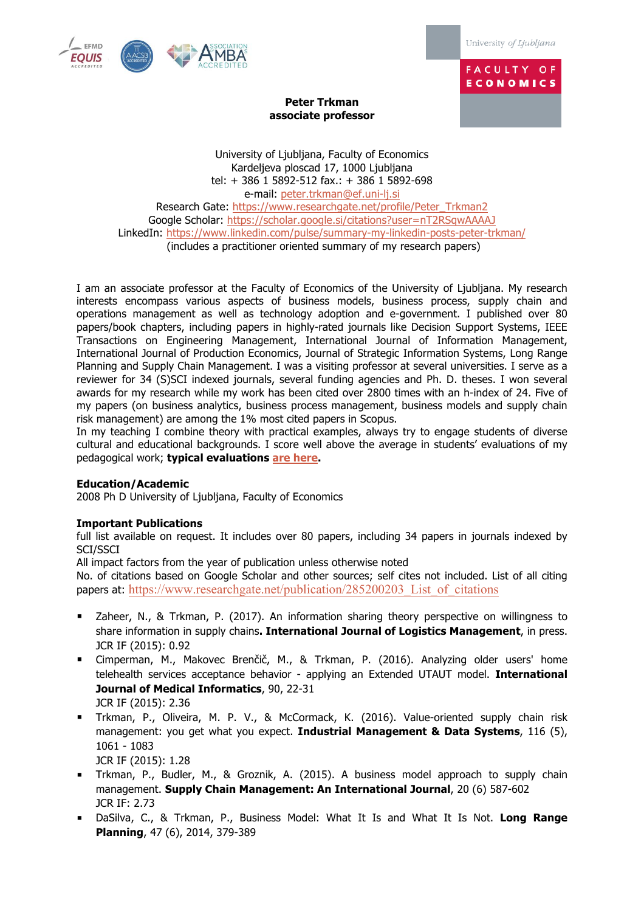

University of Ljubljana

**FACULTY OF ECONOMICS** 

# **Peter Trkman associate professor**

University of Ljubljana, Faculty of Economics Kardeljeva ploscad 17, 1000 Ljubljana tel: + 386 1 5892-512 fax.: + 386 1 5892-698 e-mail: peter.trkman@ef.uni-lj.si Research Gate: https://www.researchgate.net/profile/Peter\_Trkman2 Google Scholar: https://scholar.google.si/citations?user=nT2RSqwAAAAJ LinkedIn: https://www.linkedin.com/pulse/summary-my-linkedin-posts-peter-trkman/ (includes a practitioner oriented summary of my research papers)

I am an associate professor at the Faculty of Economics of the University of Ljubljana. My research interests encompass various aspects of business models, business process, supply chain and operations management as well as technology adoption and e-government. I published over 80 papers/book chapters, including papers in highly-rated journals like Decision Support Systems, IEEE Transactions on Engineering Management, International Journal of Information Management, International Journal of Production Economics, Journal of Strategic Information Systems, Long Range Planning and Supply Chain Management. I was a visiting professor at several universities. I serve as a reviewer for 34 (S)SCI indexed journals, several funding agencies and Ph. D. theses. I won several awards for my research while my work has been cited over 2800 times with an h-index of 24. Five of my papers (on business analytics, business process management, business models and supply chain risk management) are among the 1% most cited papers in Scopus.

In my teaching I combine theory with practical examples, always try to engage students of diverse cultural and educational backgrounds. I score well above the average in students' evaluations of my pedagogical work; **typical evaluations are here.**

# **Education/Academic**

2008 Ph D University of Ljubljana, Faculty of Economics

# **Important Publications**

full list available on request. It includes over 80 papers, including 34 papers in journals indexed by SCI/SSCI

All impact factors from the year of publication unless otherwise noted

No. of citations based on Google Scholar and other sources; self cites not included. List of all citing papers at: https://www.researchgate.net/publication/285200203\_List\_of\_citations

- Zaheer, N., & Trkman, P. (2017). An information sharing theory perspective on willingness to share information in supply chains**. International Journal of Logistics Management**, in press. JCR IF (2015): 0.92
- § Cimperman, M., Makovec Brenčič, M., & Trkman, P. (2016). Analyzing older users' home telehealth services acceptance behavior - applying an Extended UTAUT model. **International Journal of Medical Informatics**, 90, 22-31 JCR IF (2015): 2.36
- § Trkman, P., Oliveira, M. P. V., & McCormack, K. (2016). Value-oriented supply chain risk management: you get what you expect. **Industrial Management & Data Systems**, 116 (5), 1061 - 1083

JCR IF (2015): 1.28

- § Trkman, P., Budler, M., & Groznik, A. (2015). A business model approach to supply chain management. **Supply Chain Management: An International Journal**, 20 (6) 587-602 JCR IF: 2.73
- § Dz aSilva, C., & Trkman, P., Business Model: What It Is and What It Is Not. **Long Range Planning**, 47 (6), 2014, 379-389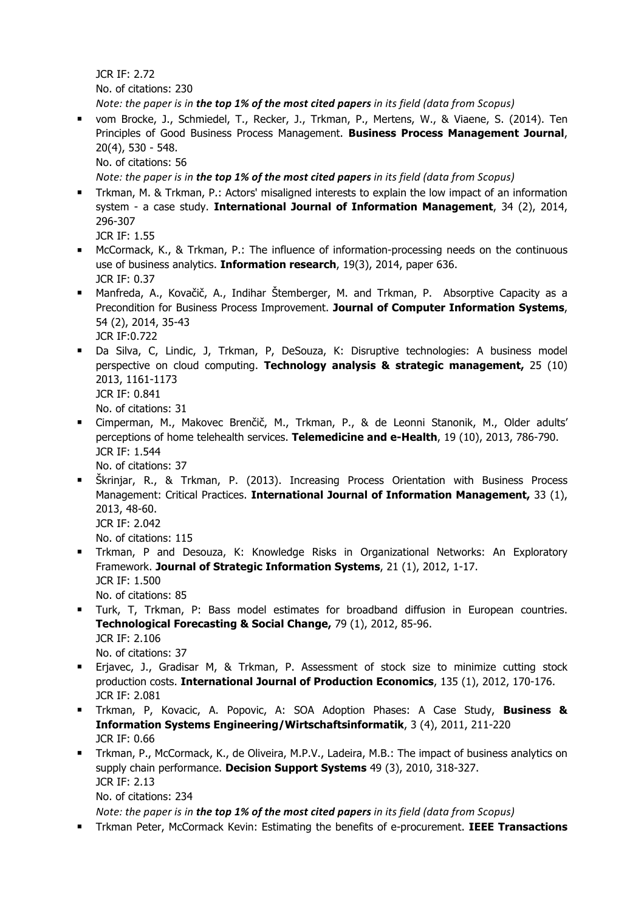JCR IF: 2.72 No. of citations: 230

*Note:* the paper is in the top 1% of the most cited papers in its field (data from Scopus)

§ vom Brocke, J., Schmiedel, T., Recker, J., Trkman, P., Mertens, W., & Viaene, S. (2014). Ten Principles of Good Business Process Management. **Business Process Management Journal**, 20(4), 530 - 548.

No. of citations: 56

*Note:* the paper is in the top 1% of the most cited papers in its field (data from Scopus)

- Trkman, M. & Trkman, P.: Actors' misaligned interests to explain the low impact of an information system - a case study. **International Journal of Information Management**, 34 (2), 2014, 296-307
	- JCR IF: 1.55
- McCormack, K., & Trkman, P.: The influence of information-processing needs on the continuous use of business analytics. **Information research**, 19(3), 2014, paper 636. JCR IF: 0.37
- Manfreda, A., Kovačič, A., Indihar Štemberger, M. and Trkman, P. Absorptive Capacity as a Precondition for Business Process Improvement. **Journal of Computer Information Systems**, 54 (2), 2014, 35-43 JCR IF:0.722
- § Da Silva, C, Lindic, J, Trkman, P, DeSouza, K: Disruptive technologies: A business model perspective on cloud computing. **Technology analysis & strategic management,** 25 (10) 2013, 1161-1173 JCR IF: 0.841

No. of citations: 31

- § Cimperman, M., Makovec Brenčič, M., Trkman, P., & de Leonni Stanonik, M., Older adults' perceptions of home telehealth services. **Telemedicine and e-Health**, 19 (10), 2013, 786-790. JCR IF: 1.544 No. of citations: 37
- § Škrinjar, R., & Trkman, P. (2013). Increasing Process Orientation with Business Process Management: Critical Practices. **International Journal of Information Management,** 33 (1), 2013, 48-60. JCR IF: 2.042

No. of citations: 115

- § Trkman, P and Desouza, K: Knowledge Risks in Organizational Networks: An Exploratory Framework. **Journal of Strategic Information Systems**, 21 (1), 2012, 1-17. JCR IF: 1.500 No. of citations: 85
- § Turk, T, Trkman, P: Bass model estimates for broadband diffusion in European countries. **Technological Forecasting & Social Change,** 79 (1), 2012, 85-96. JCR IF: 2.106 No. of citations: 37
- § Erjavec, J., Gradisar M, & Trkman, P. Assessment of stock size to minimize cutting stock production costs. **International Journal of Production Economics**, 135 (1), 2012, 170-176. JCR IF: 2.081
- § Trkman, P, Kovacic, A. Popovic, A: SOA Adoption Phases: A Case Study, **Business & Information Systems Engineering/Wirtschaftsinformatik**, 3 (4), 2011, 211-220 JCR IF: 0.66
- § Trkman, P., McCormack, K., de Oliveira, M.P.V., Ladeira, M.B.: The impact of business analytics on supply chain performance. **Decision Support Systems** 49 (3), 2010, 318-327. JCR IF: 2.13 No. of citations: 234

*Note:* the paper is in the top 1% of the most cited papers in its field (data from Scopus)

§ Trkman Peter, McCormack Kevin: Estimating the benefits of e-procurement. **IEEE Transactions**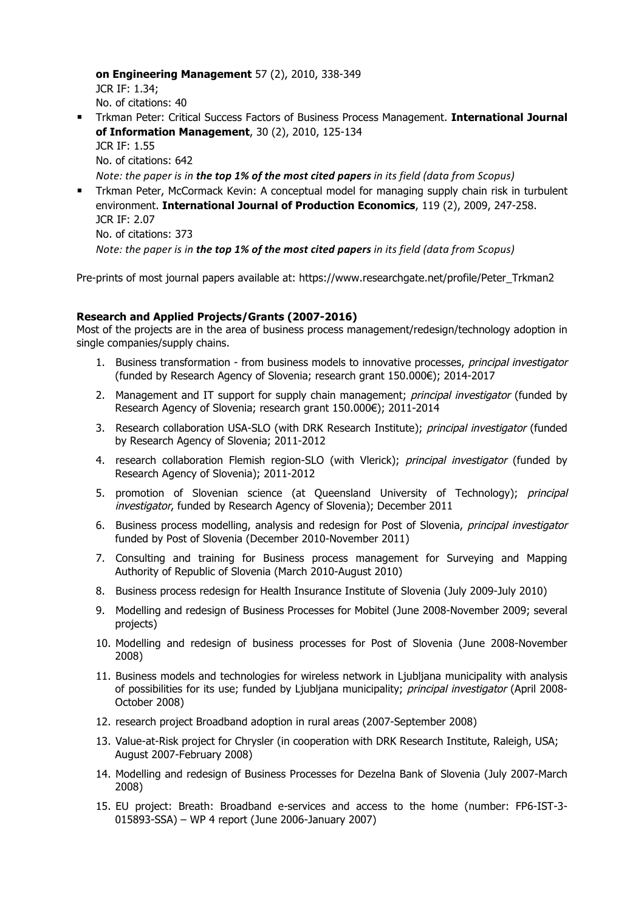**on Engineering Management** 57 (2), 2010, 338-349 JCR IF: 1.34;

No. of citations: 40

- § Trkman Peter: Critical Success Factors of Business Process Management. **International Journal of Information Management**, 30 (2), 2010, 125-134 JCR IF: 1.55 No. of citations: 642 *Note:* the paper is in the top 1% of the most cited papers in its field (data from Scopus)
- § Trkman Peter, McCormack Kevin: A conceptual model for managing supply chain risk in turbulent environment. **International Journal of Production Economics**, 119 (2), 2009, 247-258. JCR IF: 2.07 No. of citations: 373 *Note:* the paper is in the top 1% of the most cited papers in its field (data from Scopus)

Pre-prints of most journal papers available at: https://www.researchgate.net/profile/Peter\_Trkman2

### **Research and Applied Projects/Grants (2007-2016)**

Most of the projects are in the area of business process management/redesign/technology adoption in single companies/supply chains.

- 1. Business transformation from business models to innovative processes, principal investigator (funded by Research Agency of Slovenia; research grant 150.000€); 2014-2017
- 2. Management and IT support for supply chain management; *principal investigator* (funded by Research Agency of Slovenia; research grant 150.000€); 2011-2014
- 3. Research collaboration USA-SLO (with DRK Research Institute); principal investigator (funded by Research Agency of Slovenia; 2011-2012
- 4. research collaboration Flemish region-SLO (with Vlerick); principal investigator (funded by Research Agency of Slovenia); 2011-2012
- 5. promotion of Slovenian science (at Queensland University of Technology); *principal* investigator, funded by Research Agency of Slovenia); December 2011
- 6. Business process modelling, analysis and redesign for Post of Slovenia, principal investigator funded by Post of Slovenia (December 2010-November 2011)
- 7. Consulting and training for Business process management for Surveying and Mapping Authority of Republic of Slovenia (March 2010-August 2010)
- 8. Business process redesign for Health Insurance Institute of Slovenia (July 2009-July 2010)
- 9. Modelling and redesign of Business Processes for Mobitel (June 2008-November 2009; several projects)
- 10. Modelling and redesign of business processes for Post of Slovenia (June 2008-November 2008)
- 11. Business models and technologies for wireless network in Ljubljana municipality with analysis of possibilities for its use; funded by Ljubljana municipality; principal investigator (April 2008-October 2008)
- 12. research project Broadband adoption in rural areas (2007-September 2008)
- 13. Value-at-Risk project for Chrysler (in cooperation with DRK Research Institute, Raleigh, USA; August 2007-February 2008)
- 14. Modelling and redesign of Business Processes for Dezelna Bank of Slovenia (July 2007-March 2008)
- 15. EU project: Breath: Broadband e-services and access to the home (number: FP6-IST-3- 015893-SSA) – WP 4 report (June 2006-January 2007)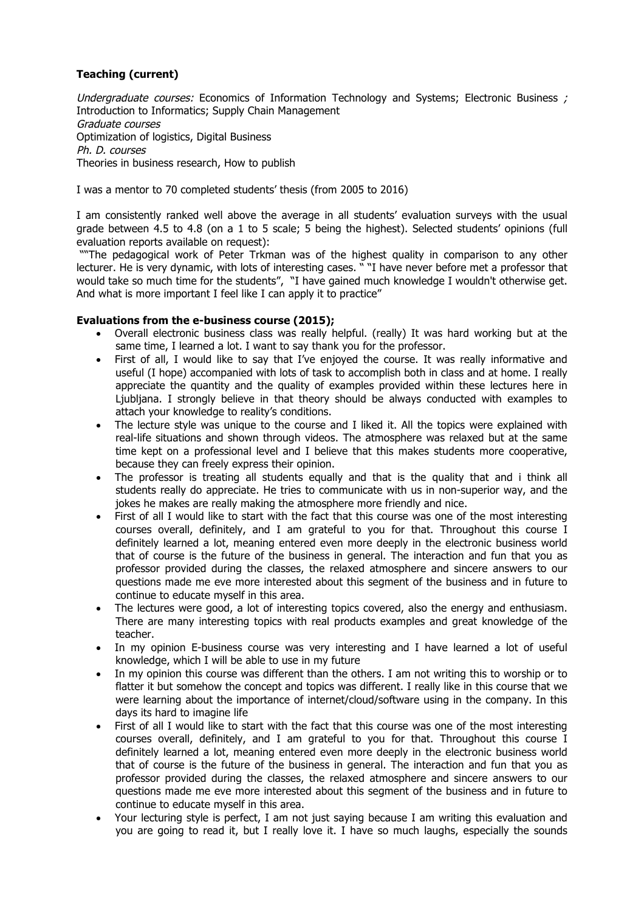# **Teaching (current)**

Undergraduate courses: Economics of Information Technology and Systems: Electronic Business ; Introduction to Informatics; Supply Chain Management Graduate courses Optimization of logistics, Digital Business Ph. D. courses Theories in business research, How to publish

I was a mentor to 70 completed students' thesis (from 2005 to 2016)

I am consistently ranked well above the average in all students' evaluation surveys with the usual grade between 4.5 to 4.8 (on a 1 to 5 scale; 5 being the highest). Selected students' opinions (full evaluation reports available on request):

"The pedagogical work of Peter Trkman was of the highest quality in comparison to any other lecturer. He is very dynamic, with lots of interesting cases. " "I have never before met a professor that would take so much time for the students", "I have gained much knowledge I wouldn't otherwise get. And what is more important I feel like I can apply it to practice"

### **Evaluations from the e-business course (2015);**

- Overall electronic business class was really helpful. (really) It was hard working but at the same time, I learned a lot. I want to say thank you for the professor.
- First of all, I would like to say that I've enjoyed the course. It was really informative and useful (I hope) accompanied with lots of task to accomplish both in class and at home. I really appreciate the quantity and the quality of examples provided within these lectures here in Ljubljana. I strongly believe in that theory should be always conducted with examples to attach your knowledge to reality's conditions.
- The lecture style was unique to the course and I liked it. All the topics were explained with real-life situations and shown through videos. The atmosphere was relaxed but at the same time kept on a professional level and I believe that this makes students more cooperative, because they can freely express their opinion.
- The professor is treating all students equally and that is the quality that and i think all students really do appreciate. He tries to communicate with us in non-superior way, and the jokes he makes are really making the atmosphere more friendly and nice.
- First of all I would like to start with the fact that this course was one of the most interesting courses overall, definitely, and I am grateful to you for that. Throughout this course I definitely learned a lot, meaning entered even more deeply in the electronic business world that of course is the future of the business in general. The interaction and fun that you as professor provided during the classes, the relaxed atmosphere and sincere answers to our questions made me eve more interested about this segment of the business and in future to continue to educate myself in this area.
- The lectures were good, a lot of interesting topics covered, also the energy and enthusiasm. There are many interesting topics with real products examples and great knowledge of the teacher.
- In my opinion E-business course was very interesting and I have learned a lot of useful knowledge, which I will be able to use in my future
- In my opinion this course was different than the others. I am not writing this to worship or to flatter it but somehow the concept and topics was different. I really like in this course that we were learning about the importance of internet/cloud/software using in the company. In this days its hard to imagine life
- First of all I would like to start with the fact that this course was one of the most interesting courses overall, definitely, and I am grateful to you for that. Throughout this course I definitely learned a lot, meaning entered even more deeply in the electronic business world that of course is the future of the business in general. The interaction and fun that you as professor provided during the classes, the relaxed atmosphere and sincere answers to our questions made me eve more interested about this segment of the business and in future to continue to educate myself in this area.
- Your lecturing style is perfect, I am not just saying because I am writing this evaluation and you are going to read it, but I really love it. I have so much laughs, especially the sounds